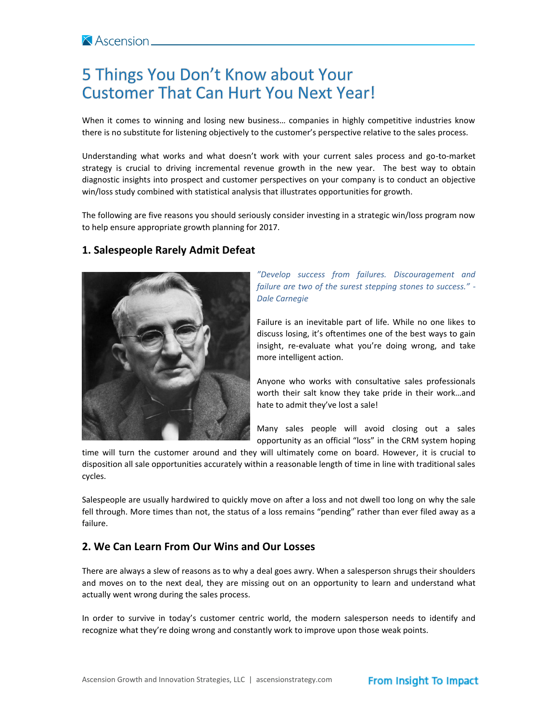# 5 Things You Don't Know about Your **Customer That Can Hurt You Next Year!**

When it comes to winning and losing new business… companies in highly competitive industries know there is no substitute for listening objectively to the customer's perspective relative to the sales process.

Understanding what works and what doesn't work with your current sales process and go-to-market strategy is crucial to driving incremental revenue growth in the new year. The best way to obtain diagnostic insights into prospect and customer perspectives on your company is to conduct an objective win/loss study combined with statistical analysis that illustrates opportunities for growth.

The following are five reasons you should seriously consider investing in a strategic win/loss program now to help ensure appropriate growth planning for 2017.

## **1. Salespeople Rarely Admit Defeat**



*"Develop success from failures. Discouragement and failure are two of the surest stepping stones to success." - Dale Carnegie* 

Failure is an inevitable part of life. While no one likes to discuss losing, it's oftentimes one of the best ways to gain insight, re-evaluate what you're doing wrong, and take more intelligent action.

Anyone who works with consultative sales professionals worth their salt know they take pride in their work…and hate to admit they've lost a sale!

Many sales people will avoid closing out a sales opportunity as an official "loss" in the CRM system hoping

time will turn the customer around and they will ultimately come on board. However, it is crucial to disposition all sale opportunities accurately within a reasonable length of time in line with traditional sales cycles.

Salespeople are usually hardwired to quickly move on after a loss and not dwell too long on why the sale fell through. More times than not, the status of a loss remains "pending" rather than ever filed away as a failure.

#### **2. We Can Learn From Our Wins and Our Losses**

There are always a slew of reasons as to why a deal goes awry. When a salesperson shrugs their shoulders and moves on to the next deal, they are missing out on an opportunity to learn and understand what actually went wrong during the sales process.

In order to survive in today's customer centric world, the modern salesperson needs to identify and recognize what they're doing wrong and constantly work to improve upon those weak points.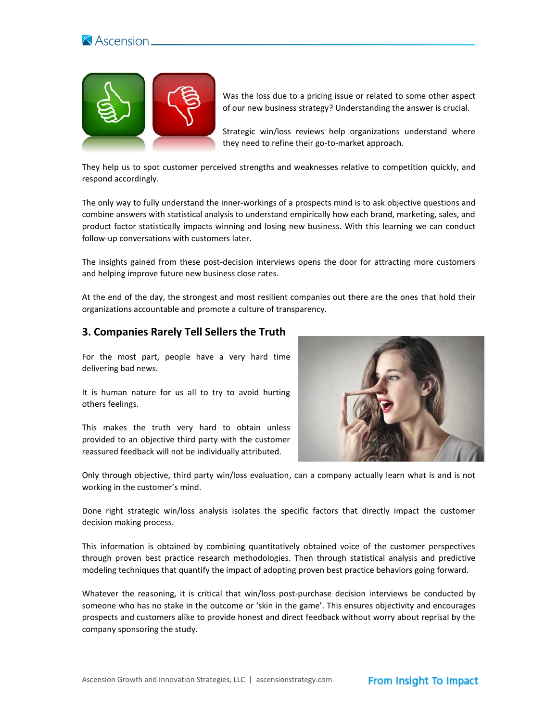



Was the loss due to a pricing issue or related to some other aspect of our new business strategy? Understanding the answer is crucial.

Strategic win/loss reviews help organizations understand where they need to refine their go-to-market approach.

They help us to spot customer perceived strengths and weaknesses relative to competition quickly, and respond accordingly.

The only way to fully understand the inner-workings of a prospects mind is to ask objective questions and combine answers with statistical analysis to understand empirically how each brand, marketing, sales, and product factor statistically impacts winning and losing new business. With this learning we can conduct follow-up conversations with customers later.

The insights gained from these post-decision interviews opens the door for attracting more customers and helping improve future new business close rates.

At the end of the day, the strongest and most resilient companies out there are the ones that hold their organizations accountable and promote a culture of transparency.

#### **3. Companies Rarely Tell Sellers the Truth**

For the most part, people have a very hard time delivering bad news.

It is human nature for us all to try to avoid hurting others feelings.

This makes the truth very hard to obtain unless provided to an objective third party with the customer reassured feedback will not be individually attributed.



Only through objective, third party win/loss evaluation, can a company actually learn what is and is not working in the customer's mind.

Done right strategic win/loss analysis isolates the specific factors that directly impact the customer decision making process.

This information is obtained by combining quantitatively obtained voice of the customer perspectives through proven best practice research methodologies. Then through statistical analysis and predictive modeling techniques that quantify the impact of adopting proven best practice behaviors going forward.

Whatever the reasoning, it is critical that win/loss post-purchase decision interviews be conducted by someone who has no stake in the outcome or 'skin in the game'. This ensures objectivity and encourages prospects and customers alike to provide honest and direct feedback without worry about reprisal by the company sponsoring the study.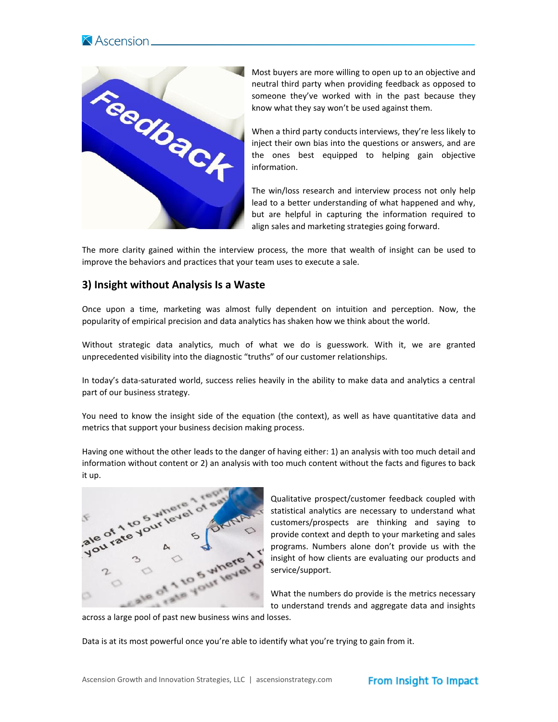



Most buyers are more willing to open up to an objective and neutral third party when providing feedback as opposed to someone they've worked with in the past because they know what they say won't be used against them.

When a third party conducts interviews, they're less likely to inject their own bias into the questions or answers, and are the ones best equipped to helping gain objective information.

The win/loss research and interview process not only help lead to a better understanding of what happened and why, but are helpful in capturing the information required to align sales and marketing strategies going forward.

The more clarity gained within the interview process, the more that wealth of insight can be used to improve the behaviors and practices that your team uses to execute a sale.

### **3) Insight without Analysis Is a Waste**

Once upon a time, marketing was almost fully dependent on intuition and perception. Now, the popularity of empirical precision and data analytics has shaken how we think about the world.

Without strategic data analytics, much of what we do is guesswork. With it, we are granted unprecedented visibility into the diagnostic "truths" of our customer relationships.

In today's data-saturated world, success relies heavily in the ability to make data and analytics a central part of our business strategy.

You need to know the insight side of the equation (the context), as well as have quantitative data and metrics that support your business decision making process.

Having one without the other leads to the danger of having either: 1) an analysis with too much detail and information without content or 2) an analysis with too much content without the facts and figures to back it up.



Qualitative prospect/customer feedback coupled with statistical analytics are necessary to understand what customers/prospects are thinking and saying to provide context and depth to your marketing and sales programs. Numbers alone don't provide us with the insight of how clients are evaluating our products and service/support.

What the numbers do provide is the metrics necessary to understand trends and aggregate data and insights

across a large pool of past new business wins and losses.

Data is at its most powerful once you're able to identify what you're trying to gain from it.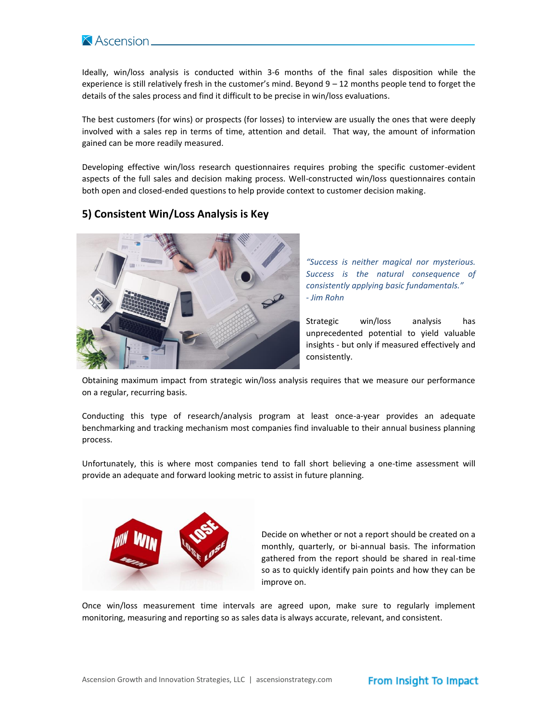

Ideally, win/loss analysis is conducted within 3-6 months of the final sales disposition while the experience is still relatively fresh in the customer's mind. Beyond 9 – 12 months people tend to forget the details of the sales process and find it difficult to be precise in win/loss evaluations.

The best customers (for wins) or prospects (for losses) to interview are usually the ones that were deeply involved with a sales rep in terms of time, attention and detail. That way, the amount of information gained can be more readily measured.

Developing effective win/loss research questionnaires requires probing the specific customer-evident aspects of the full sales and decision making process. Well-constructed win/loss questionnaires contain both open and closed-ended questions to help provide context to customer decision making.

## **5) Consistent Win/Loss Analysis is Key**



*"Success is neither magical nor mysterious. Success is the natural consequence of consistently applying basic fundamentals." - Jim Rohn*

Strategic win/loss analysis has unprecedented potential to yield valuable insights - but only if measured effectively and consistently.

Obtaining maximum impact from strategic win/loss analysis requires that we measure our performance on a regular, recurring basis.

Conducting this type of research/analysis program at least once-a-year provides an adequate benchmarking and tracking mechanism most companies find invaluable to their annual business planning process.

Unfortunately, this is where most companies tend to fall short believing a one-time assessment will provide an adequate and forward looking metric to assist in future planning.



Decide on whether or not a report should be created on a monthly, quarterly, or bi-annual basis. The information gathered from the report should be shared in real-time so as to quickly identify pain points and how they can be improve on.

Once win/loss measurement time intervals are agreed upon, make sure to regularly implement monitoring, measuring and reporting so as sales data is always accurate, relevant, and consistent.